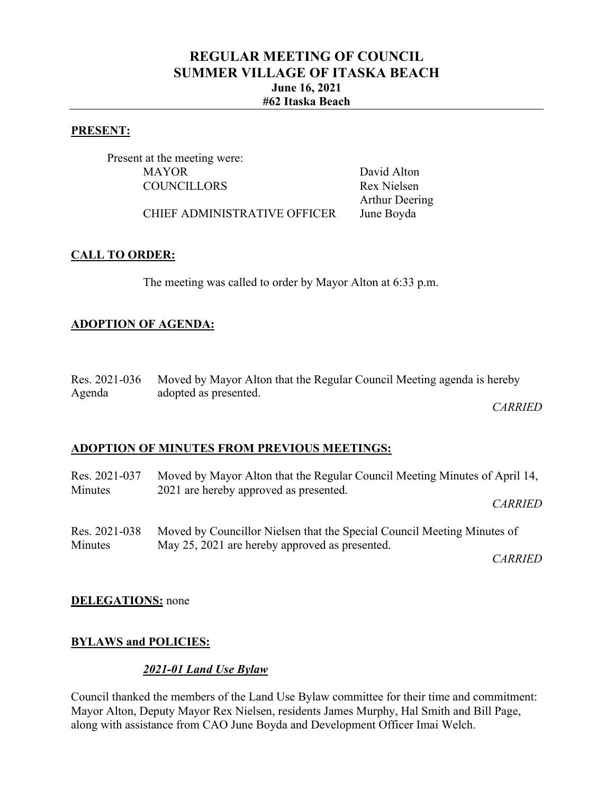# **REGULAR MEETING OF COUNCIL SUMMER VILLAGE OF ITASKA BEACH June 16, 2021 #62 Itaska Beach**

#### **PRESENT:**

Present at the meeting were: MAYOR David Alton COUNCILLORS Rex Nielsen

Arthur Deering

CHIEF ADMINISTRATIVE OFFICER June Boyda

### **CALL TO ORDER:**

The meeting was called to order by Mayor Alton at 6:33 p.m.

### **ADOPTION OF AGENDA:**

|        | Res. 2021-036 Moved by Mayor Alton that the Regular Council Meeting agenda is hereby |
|--------|--------------------------------------------------------------------------------------|
| Agenda | adopted as presented.                                                                |

*CARRIED*

## **ADOPTION OF MINUTES FROM PREVIOUS MEETINGS:**

| Res. 2021-037            | Moved by Mayor Alton that the Regular Council Meeting Minutes of April 14,                                                |  |
|--------------------------|---------------------------------------------------------------------------------------------------------------------------|--|
| Minutes                  | 2021 are hereby approved as presented.                                                                                    |  |
|                          | <i>CARRIED</i>                                                                                                            |  |
| Res. 2021-038<br>Minutes | Moved by Councillor Nielsen that the Special Council Meeting Minutes of<br>May 25, 2021 are hereby approved as presented. |  |
|                          | <i>CARRIED</i>                                                                                                            |  |

**DELEGATIONS:** none

## **BYLAWS and POLICIES:**

#### *2021-01 Land Use Bylaw*

Council thanked the members of the Land Use Bylaw committee for their time and commitment: Mayor Alton, Deputy Mayor Rex Nielsen, residents James Murphy, Hal Smith and Bill Page, along with assistance from CAO June Boyda and Development Officer Imai Welch.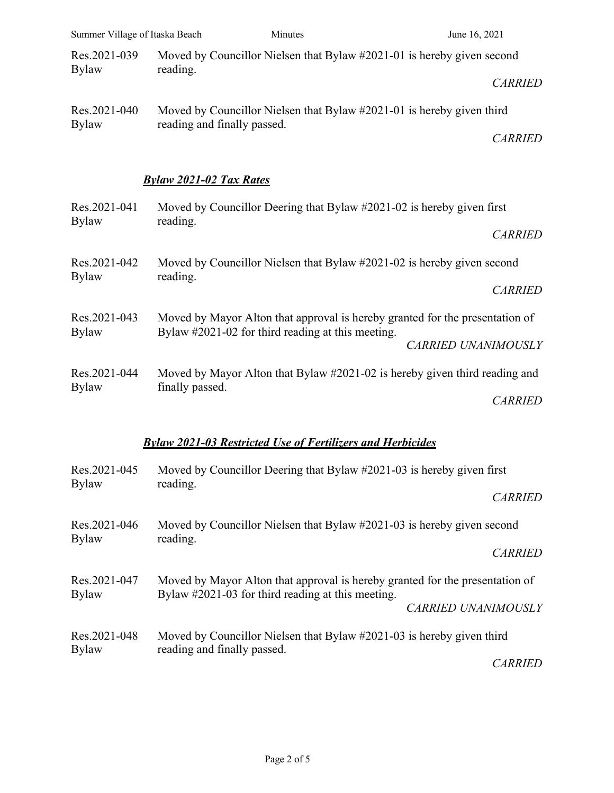| Summer Village of Itaska Beach                                    |                                                                                    | Minutes                                           | June 16, 2021                                                                |  |
|-------------------------------------------------------------------|------------------------------------------------------------------------------------|---------------------------------------------------|------------------------------------------------------------------------------|--|
| Res.2021-039<br><b>Bylaw</b>                                      | Moved by Councillor Nielsen that Bylaw #2021-01 is hereby given second<br>reading. |                                                   |                                                                              |  |
|                                                                   |                                                                                    |                                                   | <b>CARRIED</b>                                                               |  |
| Res.2021-040<br><b>Bylaw</b>                                      | Moved by Councillor Nielsen that Bylaw #2021-01 is hereby given third              |                                                   |                                                                              |  |
|                                                                   | reading and finally passed.                                                        |                                                   | <b>CARRIED</b>                                                               |  |
|                                                                   | <b>Bylaw 2021-02 Tax Rates</b>                                                     |                                                   |                                                                              |  |
| Res.2021-041<br><b>Bylaw</b>                                      | Moved by Councillor Deering that Bylaw #2021-02 is hereby given first              |                                                   |                                                                              |  |
|                                                                   | reading.<br><b>CARRIED</b>                                                         |                                                   |                                                                              |  |
| Res.2021-042<br><b>Bylaw</b>                                      | Moved by Councillor Nielsen that Bylaw #2021-02 is hereby given second             |                                                   |                                                                              |  |
|                                                                   | reading.                                                                           |                                                   | <b>CARRIED</b>                                                               |  |
| Res.2021-043<br><b>Bylaw</b>                                      |                                                                                    |                                                   | Moved by Mayor Alton that approval is hereby granted for the presentation of |  |
|                                                                   |                                                                                    | Bylaw #2021-02 for third reading at this meeting. | <b>CARRIED UNANIMOUSLY</b>                                                   |  |
| Res.2021-044<br><b>Bylaw</b>                                      | Moved by Mayor Alton that Bylaw #2021-02 is hereby given third reading and         |                                                   |                                                                              |  |
|                                                                   | finally passed.                                                                    |                                                   | <b>CARRIED</b>                                                               |  |
| <b>Bylaw 2021-03 Restricted Use of Fertilizers and Herbicides</b> |                                                                                    |                                                   |                                                                              |  |

| Res.2021-045<br><b>Bylaw</b> | Moved by Councillor Deering that Bylaw #2021-03 is hereby given first<br>reading.                                                 |  |  |
|------------------------------|-----------------------------------------------------------------------------------------------------------------------------------|--|--|
|                              | <b>CARRIED</b>                                                                                                                    |  |  |
| Res.2021-046<br><b>Bylaw</b> | Moved by Councillor Nielsen that Bylaw #2021-03 is hereby given second<br>reading.                                                |  |  |
|                              | <b>CARRIED</b>                                                                                                                    |  |  |
| Res.2021-047<br><b>Bylaw</b> | Moved by Mayor Alton that approval is hereby granted for the presentation of<br>Bylaw #2021-03 for third reading at this meeting. |  |  |
|                              | <b>CARRIED UNANIMOUSLY</b>                                                                                                        |  |  |
| Res.2021-048<br><b>Bylaw</b> | Moved by Councillor Nielsen that Bylaw #2021-03 is hereby given third<br>reading and finally passed.                              |  |  |
|                              | <b>CARRIED</b>                                                                                                                    |  |  |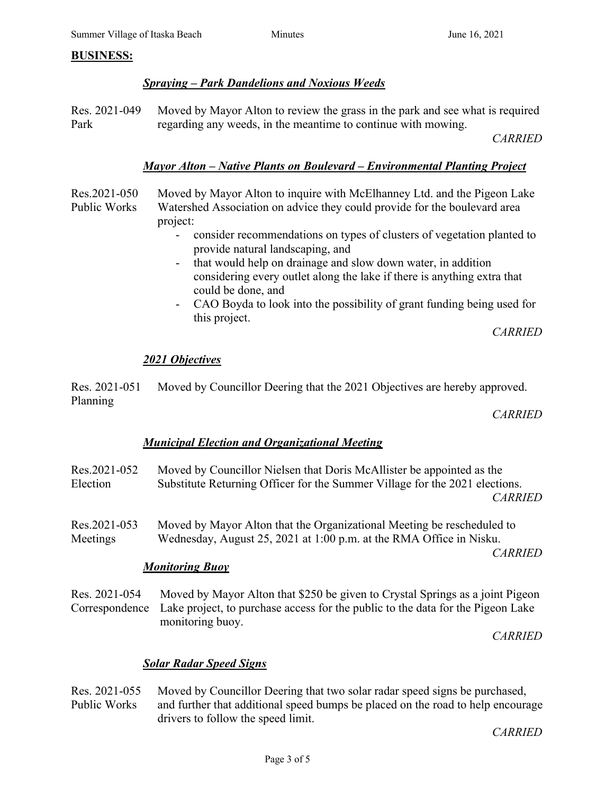#### **BUSINESS:**

## *Spraying – Park Dandelions and Noxious Weeds*

Res. 2021-049 Park Moved by Mayor Alton to review the grass in the park and see what is required regarding any weeds, in the meantime to continue with mowing.

*CARRIED*

## *Mayor Alton – Native Plants on Boulevard – Environmental Planting Project*

Res.2021-050 Public Works Moved by Mayor Alton to inquire with McElhanney Ltd. and the Pigeon Lake Watershed Association on advice they could provide for the boulevard area project:

- consider recommendations on types of clusters of vegetation planted to provide natural landscaping, and
- that would help on drainage and slow down water, in addition considering every outlet along the lake if there is anything extra that could be done, and
- CAO Boyda to look into the possibility of grant funding being used for this project.

*CARRIED*

#### *2021 Objectives*

Res. 2021-051 Planning Moved by Councillor Deering that the 2021 Objectives are hereby approved.

*CARRIED*

#### *Municipal Election and Organizational Meeting*

| Res.2021-052<br>Election | Moved by Councillor Nielsen that Doris McAllister be appointed as the<br>Substitute Returning Officer for the Summer Village for the 2021 elections.<br><b>CARRIED</b>                              |
|--------------------------|-----------------------------------------------------------------------------------------------------------------------------------------------------------------------------------------------------|
| Res.2021-053<br>Meetings | Moved by Mayor Alton that the Organizational Meeting be rescheduled to<br>Wednesday, August 25, 2021 at 1:00 p.m. at the RMA Office in Nisku.<br><b>CARRIED</b><br><b>Monitoring Buoy</b>           |
| Res. 2021-054            | Moved by Mayor Alton that \$250 be given to Crystal Springs as a joint Pigeon<br>Correspondence Lake project, to purchase access for the public to the data for the Pigeon Lake<br>monitoring buoy. |

*CARRIED*

#### *Solar Radar Speed Signs*

Res. 2021-055 Public Works Moved by Councillor Deering that two solar radar speed signs be purchased, and further that additional speed bumps be placed on the road to help encourage drivers to follow the speed limit.

*CARRIED*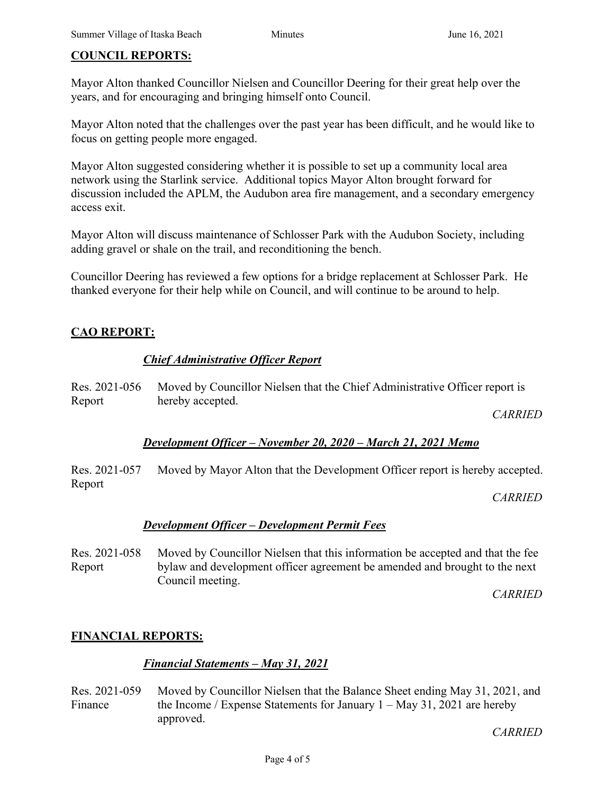### **COUNCIL REPORTS:**

Mayor Alton thanked Councillor Nielsen and Councillor Deering for their great help over the years, and for encouraging and bringing himself onto Council.

Mayor Alton noted that the challenges over the past year has been difficult, and he would like to focus on getting people more engaged.

Mayor Alton suggested considering whether it is possible to set up a community local area network using the Starlink service. Additional topics Mayor Alton brought forward for discussion included the APLM, the Audubon area fire management, and a secondary emergency access exit.

Mayor Alton will discuss maintenance of Schlosser Park with the Audubon Society, including adding gravel or shale on the trail, and reconditioning the bench.

Councillor Deering has reviewed a few options for a bridge replacement at Schlosser Park. He thanked everyone for their help while on Council, and will continue to be around to help.

## **CAO REPORT:**

## *Chief Administrative Officer Report*

Res. 2021-056 Report Moved by Councillor Nielsen that the Chief Administrative Officer report is hereby accepted.

*CARRIED*

## *Development Officer – November 20, 2020 – March 21, 2021 Memo*

Res. 2021-057 Report Moved by Mayor Alton that the Development Officer report is hereby accepted.

*CARRIED*

## *Development Officer – Development Permit Fees*

Res. 2021-058 Report Moved by Councillor Nielsen that this information be accepted and that the fee bylaw and development officer agreement be amended and brought to the next Council meeting.

*CARRIED*

## **FINANCIAL REPORTS:**

## *Financial Statements – May 31, 2021*

Res. 2021-059 Finance Moved by Councillor Nielsen that the Balance Sheet ending May 31, 2021, and the Income / Expense Statements for January  $1 - May 31, 2021$  are hereby approved.

*CARRIED*